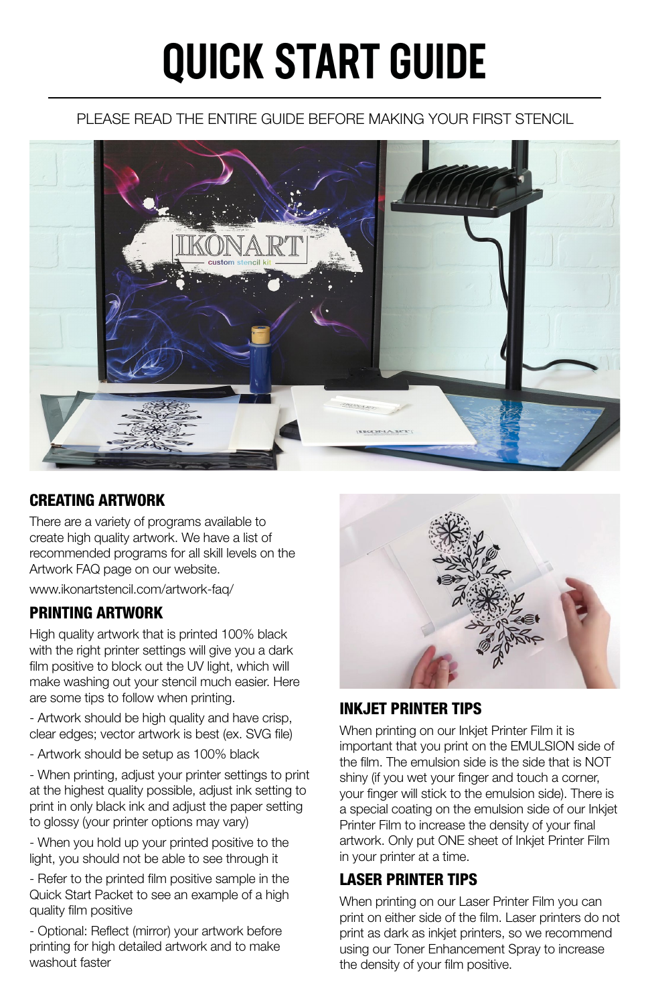# QUICK START GUIDE

## PLEASE READ THE ENTIRE GUIDE BEFORE MAKING YOUR FIRST STENCIL



# CREATING ARTWORK

There are a variety of programs available to create high quality artwork. We have a list of recommended programs for all skill levels on the Artwork FAQ page on our website.

www.ikonartstencil.com/artwork-faq/

# PRINTING ARTWORK

High quality artwork that is printed 100% black with the right printer settings will give you a dark film positive to block out the UV light, which will make washing out your stencil much easier. Here are some tips to follow when printing.

- Artwork should be high quality and have crisp, clear edges; vector artwork is best (ex. SVG file)

- Artwork should be setup as 100% black

- When printing, adjust your printer settings to print at the highest quality possible, adjust ink setting to print in only black ink and adjust the paper setting to glossy (your printer options may vary)

- When you hold up your printed positive to the light, you should not be able to see through it

- Refer to the printed film positive sample in the Quick Start Packet to see an example of a high quality film positive

- Optional: Reflect (mirror) your artwork before printing for high detailed artwork and to make washout faster



# INKJET PRINTER TIPS

When printing on our Inkjet Printer Film it is important that you print on the EMULSION side of the film. The emulsion side is the side that is NOT shiny (if you wet your finger and touch a corner, your finger will stick to the emulsion side). There is a special coating on the emulsion side of our Inkjet Printer Film to increase the density of your final artwork. Only put ONE sheet of Inkjet Printer Film in your printer at a time.

# LASER PRINTER TIPS

When printing on our Laser Printer Film you can print on either side of the film. Laser printers do not print as dark as inkjet printers, so we recommend using our Toner Enhancement Spray to increase the density of your film positive.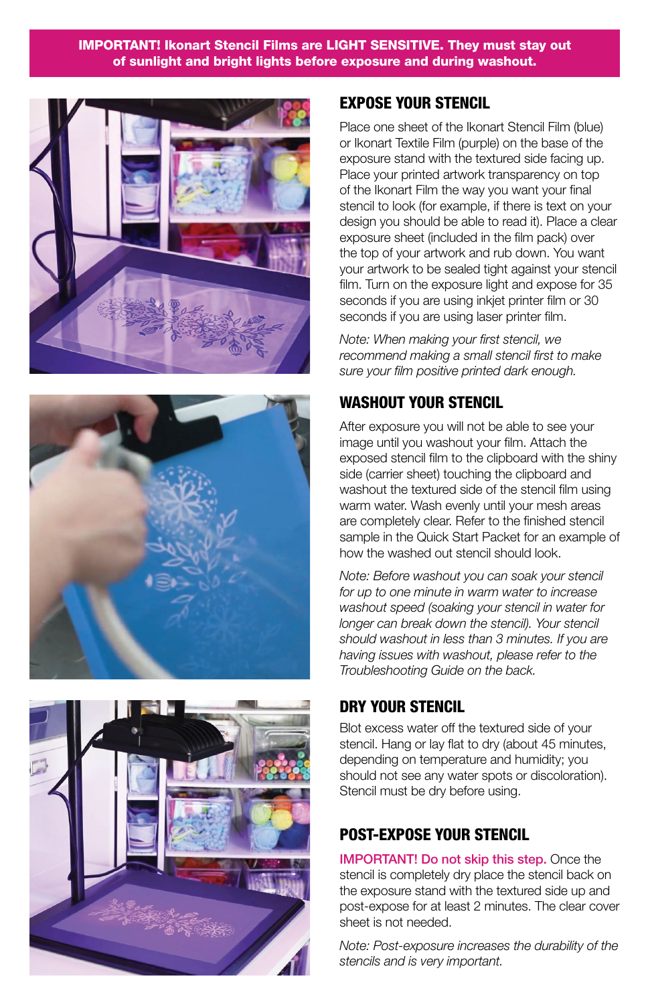#### IMPORTANT! Ikonart Stencil Films are LIGHT SENSITIVE. They must stay out of sunlight and bright lights before exposure and during washout.







## EXPOSE YOUR STENCIL

Place one sheet of the Ikonart Stencil Film (blue) or Ikonart Textile Film (purple) on the base of the exposure stand with the textured side facing up. Place your printed artwork transparency on top of the Ikonart Film the way you want your final stencil to look (for example, if there is text on your design you should be able to read it). Place a clear exposure sheet (included in the film pack) over the top of your artwork and rub down. You want your artwork to be sealed tight against your stencil film. Turn on the exposure light and expose for 35 seconds if you are using inkiet printer film or 30 seconds if you are using laser printer film.

*Note: When making your first stencil, we recommend making a small stencil first to make sure your film positive printed dark enough.* 

# WASHOUT YOUR STENCIL

After exposure you will not be able to see your image until you washout your film. Attach the exposed stencil film to the clipboard with the shiny side (carrier sheet) touching the clipboard and washout the textured side of the stencil film using warm water. Wash evenly until your mesh areas are completely clear. Refer to the finished stencil sample in the Quick Start Packet for an example of how the washed out stencil should look.

*Note: Before washout you can soak your stencil for up to one minute in warm water to increase washout speed (soaking your stencil in water for longer can break down the stencil). Your stencil should washout in less than 3 minutes. If you are having issues with washout, please refer to the Troubleshooting Guide on the back.*

## DRY YOUR STENCIL

Blot excess water off the textured side of your stencil. Hang or lay flat to dry (about 45 minutes, depending on temperature and humidity; you should not see any water spots or discoloration). Stencil must be dry before using.

## POST-EXPOSE YOUR STENCIL

IMPORTANT! Do not skip this step. Once the stencil is completely dry place the stencil back on the exposure stand with the textured side up and post-expose for at least 2 minutes. The clear cover sheet is not needed.

*Note: Post-exposure increases the durability of the stencils and is very important.*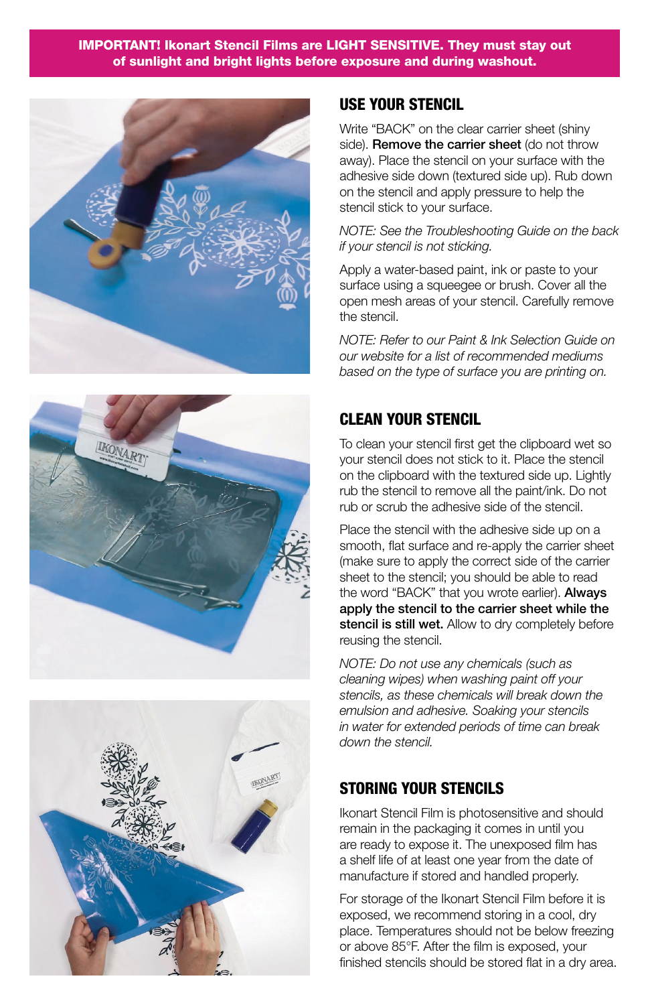#### IMPORTANT! Ikonart Stencil Films are LIGHT SENSITIVE. They must stay out of sunlight and bright lights before exposure and during washout.







#### USE YOUR STENCIL

Write "BACK" on the clear carrier sheet (shiny side). Remove the carrier sheet (do not throw away). Place the stencil on your surface with the adhesive side down (textured side up). Rub down on the stencil and apply pressure to help the stencil stick to your surface.

*NOTE: See the Troubleshooting Guide on the back if your stencil is not sticking.*

Apply a water-based paint, ink or paste to your surface using a squeegee or brush. Cover all the open mesh areas of your stencil. Carefully remove the stencil.

*NOTE: Refer to our Paint & Ink Selection Guide on our website for a list of recommended mediums based on the type of surface you are printing on.* 

## CLEAN YOUR STENCIL

To clean your stencil first get the clipboard wet so your stencil does not stick to it. Place the stencil on the clipboard with the textured side up. Lightly rub the stencil to remove all the paint/ink. Do not rub or scrub the adhesive side of the stencil.

Place the stencil with the adhesive side up on a smooth, flat surface and re-apply the carrier sheet (make sure to apply the correct side of the carrier sheet to the stencil; you should be able to read the word "BACK" that you wrote earlier). Always apply the stencil to the carrier sheet while the stencil is still wet. Allow to dry completely before reusing the stencil.

*NOTE: Do not use any chemicals (such as cleaning wipes) when washing paint off your stencils, as these chemicals will break down the emulsion and adhesive. Soaking your stencils in water for extended periods of time can break down the stencil.* 

#### STORING YOUR STENCILS

Ikonart Stencil Film is photosensitive and should remain in the packaging it comes in until you are ready to expose it. The unexposed film has a shelf life of at least one year from the date of manufacture if stored and handled properly.

For storage of the Ikonart Stencil Film before it is exposed, we recommend storing in a cool, dry place. Temperatures should not be below freezing or above 85°F. After the film is exposed, your finished stencils should be stored flat in a dry area.